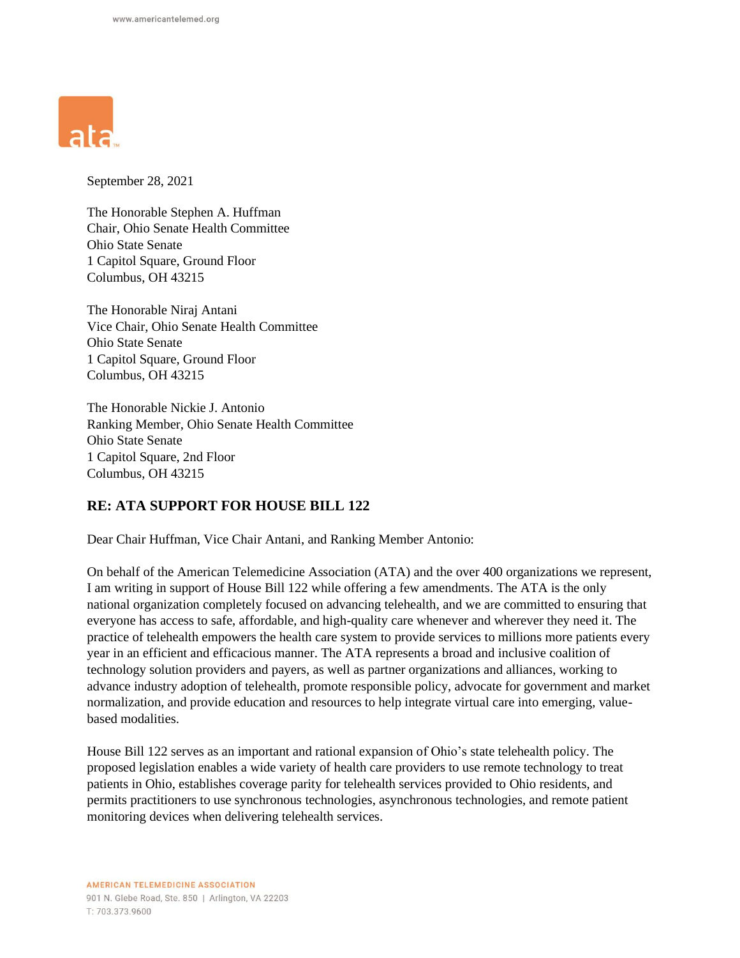

September 28, 2021

The Honorable Stephen A. Huffman Chair, Ohio Senate Health Committee Ohio State Senate 1 Capitol Square, Ground Floor Columbus, OH 43215

The Honorable Niraj Antani Vice Chair, Ohio Senate Health Committee Ohio State Senate 1 Capitol Square, Ground Floor Columbus, OH 43215

The Honorable Nickie J. Antonio Ranking Member, Ohio Senate Health Committee Ohio State Senate 1 Capitol Square, 2nd Floor Columbus, OH 43215

## **RE: ATA SUPPORT FOR HOUSE BILL 122**

Dear Chair Huffman, Vice Chair Antani, and Ranking Member Antonio:

On behalf of the American Telemedicine Association (ATA) and the over 400 organizations we represent, I am writing in support of House Bill 122 while offering a few amendments. The ATA is the only national organization completely focused on advancing telehealth, and we are committed to ensuring that everyone has access to safe, affordable, and high-quality care whenever and wherever they need it. The practice of telehealth empowers the health care system to provide services to millions more patients every year in an efficient and efficacious manner. The ATA represents a broad and inclusive coalition of technology solution providers and payers, as well as partner organizations and alliances, working to advance industry adoption of telehealth, promote responsible policy, advocate for government and market normalization, and provide education and resources to help integrate virtual care into emerging, valuebased modalities.

House Bill 122 serves as an important and rational expansion of Ohio's state telehealth policy. The proposed legislation enables a wide variety of health care providers to use remote technology to treat patients in Ohio, establishes coverage parity for telehealth services provided to Ohio residents, and permits practitioners to use synchronous technologies, asynchronous technologies, and remote patient monitoring devices when delivering telehealth services.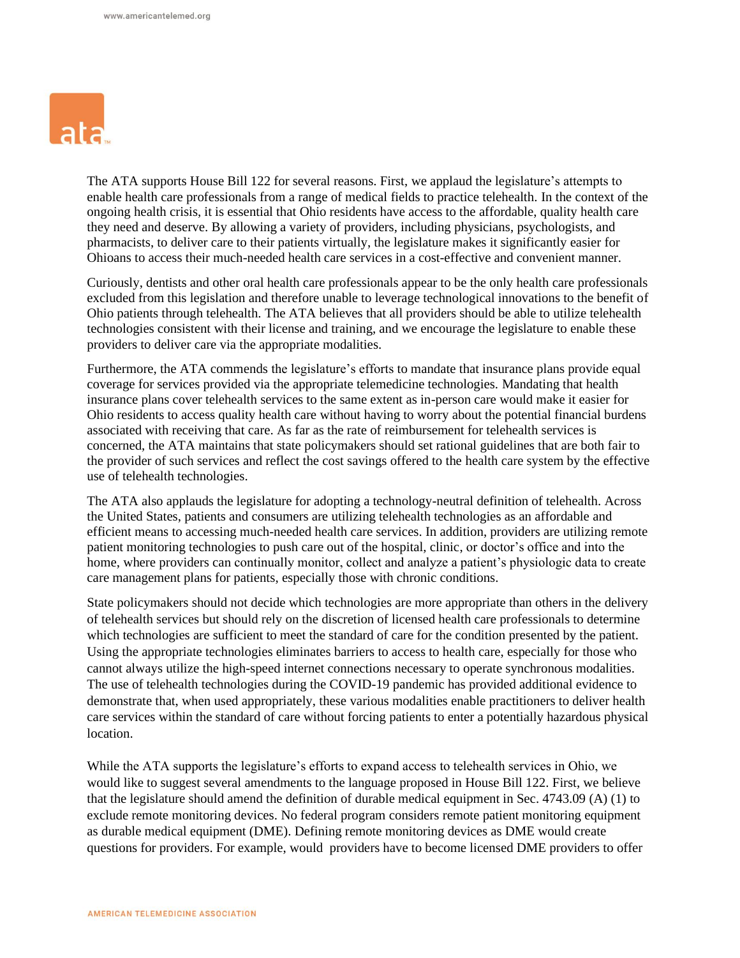

The ATA supports House Bill 122 for several reasons. First, we applaud the legislature's attempts to enable health care professionals from a range of medical fields to practice telehealth. In the context of the ongoing health crisis, it is essential that Ohio residents have access to the affordable, quality health care they need and deserve. By allowing a variety of providers, including physicians, psychologists, and pharmacists, to deliver care to their patients virtually, the legislature makes it significantly easier for Ohioans to access their much-needed health care services in a cost-effective and convenient manner.

Curiously, dentists and other oral health care professionals appear to be the only health care professionals excluded from this legislation and therefore unable to leverage technological innovations to the benefit of Ohio patients through telehealth. The ATA believes that all providers should be able to utilize telehealth technologies consistent with their license and training, and we encourage the legislature to enable these providers to deliver care via the appropriate modalities.

Furthermore, the ATA commends the legislature's efforts to mandate that insurance plans provide equal coverage for services provided via the appropriate telemedicine technologies. Mandating that health insurance plans cover telehealth services to the same extent as in-person care would make it easier for Ohio residents to access quality health care without having to worry about the potential financial burdens associated with receiving that care. As far as the rate of reimbursement for telehealth services is concerned, the ATA maintains that state policymakers should set rational guidelines that are both fair to the provider of such services and reflect the cost savings offered to the health care system by the effective use of telehealth technologies.

The ATA also applauds the legislature for adopting a technology-neutral definition of telehealth. Across the United States, patients and consumers are utilizing telehealth technologies as an affordable and efficient means to accessing much-needed health care services. In addition, providers are utilizing remote patient monitoring technologies to push care out of the hospital, clinic, or doctor's office and into the home, where providers can continually monitor, collect and analyze a patient's physiologic data to create care management plans for patients, especially those with chronic conditions.

State policymakers should not decide which technologies are more appropriate than others in the delivery of telehealth services but should rely on the discretion of licensed health care professionals to determine which technologies are sufficient to meet the standard of care for the condition presented by the patient. Using the appropriate technologies eliminates barriers to access to health care, especially for those who cannot always utilize the high-speed internet connections necessary to operate synchronous modalities. The use of telehealth technologies during the COVID-19 pandemic has provided additional evidence to demonstrate that, when used appropriately, these various modalities enable practitioners to deliver health care services within the standard of care without forcing patients to enter a potentially hazardous physical location.

While the ATA supports the legislature's efforts to expand access to telehealth services in Ohio, we would like to suggest several amendments to the language proposed in House Bill 122. First, we believe that the legislature should amend the definition of durable medical equipment in Sec. 4743.09 (A) (1) to exclude remote monitoring devices. No federal program considers remote patient monitoring equipment as durable medical equipment (DME). Defining remote monitoring devices as DME would create questions for providers. For example, would providers have to become licensed DME providers to offer